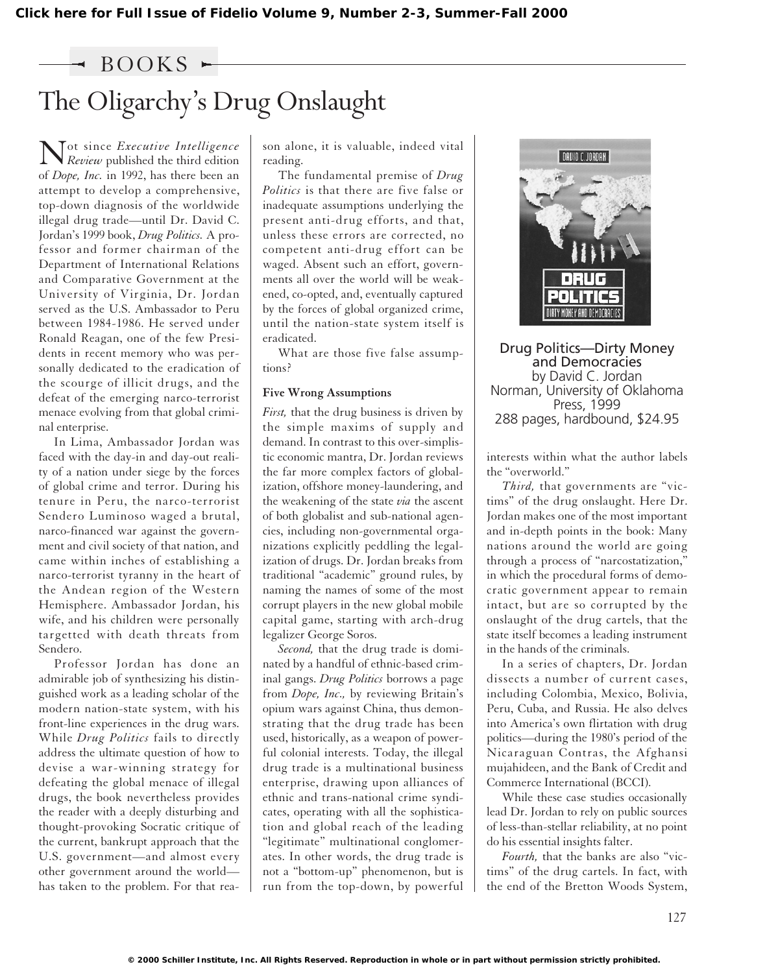### $\rightarrow$  BOOKS  $\sim$

# The Oligarchy's Drug Onslaught

Not since *Executive Intelligence Review* published the third edition of *Dope, Inc.* in 1992, has there been an attempt to develop a comprehensive, top-down diagnosis of the worldwide illegal drug trade—until Dr. David C. Jordan's 1999 book, *Drug Politics.* A professor and former chairman of the Department of International Relations and Comparative Government at the University of Virginia, Dr. Jordan served as the U.S. Ambassador to Peru between 1984-1986. He served under Ronald Reagan, one of the few Presidents in recent memory who was personally dedicated to the eradication of the scourge of illicit drugs, and the defeat of the emerging narco-terrorist menace evolving from that global criminal enterprise.

In Lima, Ambassador Jordan was faced with the day-in and day-out reality of a nation under siege by the forces of global crime and terror. During his tenure in Peru, the narco-terrorist Sendero Luminoso waged a brutal, narco-financed war against the government and civil society of that nation, and came within inches of establishing a narco-terrorist tyranny in the heart of the Andean region of the Western Hemisphere. Ambassador Jordan, his wife, and his children were personally targetted with death threats from Sendero.

Professor Jordan has done an admirable job of synthesizing his distinguished work as a leading scholar of the modern nation-state system, with his front-line experiences in the drug wars. While *Drug Politics* fails to directly address the ultimate question of how to devise a war-winning strategy for defeating the global menace of illegal drugs, the book nevertheless provides the reader with a deeply disturbing and thought-provoking Socratic critique of the current, bankrupt approach that the U.S. government—and almost every other government around the world has taken to the problem. For that reason alone, it is valuable, indeed vital reading.

The fundamental premise of *Drug Politics* is that there are five false or inadequate assumptions underlying the present anti-drug efforts, and that, unless these errors are corrected, no competent anti-drug effort can be waged. Absent such an effort, governments all over the world will be weakened, co-opted, and, eventually captured by the forces of global organized crime, until the nation-state system itself is eradicated.

What are those five false assumptions?

#### **Five Wrong Assumptions**

*First,* that the drug business is driven by the simple maxims of supply and demand. In contrast to this over-simplistic economic mantra, Dr. Jordan reviews the far more complex factors of globalization, offshore money-laundering, and the weakening of the state *via* the ascent of both globalist and sub-national agencies, including non-governmental organizations explicitly peddling the legalization of drugs. Dr. Jordan breaks from traditional "academic" ground rules, by naming the names of some of the most corrupt players in the new global mobile capital game, starting with arch-drug legalizer George Soros.

*Second,* that the drug trade is dominated by a handful of ethnic-based criminal gangs. *Drug Politics* borrows a page from *Dope, Inc.,* by reviewing Britain's opium wars against China, thus demonstrating that the drug trade has been used, historically, as a weapon of powerful colonial interests. Today, the illegal drug trade is a multinational business enterprise, drawing upon alliances of ethnic and trans-national crime syndicates, operating with all the sophistication and global reach of the leading "legitimate" multinational conglomerates. In other words, the drug trade is not a "bottom-up" phenomenon, but is run from the top-down, by powerful



Drug Politics—Dirty Money and Democracies by David C. Jordan Norman, University of Oklahoma Press, 1999 288 pages, hardbound, \$24.95

interests within what the author labels the "overworld."

*Third,* that governments are "victims" of the drug onslaught. Here Dr. Jordan makes one of the most important and in-depth points in the book: Many nations around the world are going through a process of "narcostatization," in which the procedural forms of democratic government appear to remain intact, but are so corrupted by the onslaught of the drug cartels, that the state itself becomes a leading instrument in the hands of the criminals.

In a series of chapters, Dr. Jordan dissects a number of current cases, including Colombia, Mexico, Bolivia, Peru, Cuba, and Russia. He also delves into America's own flirtation with drug politics—during the 1980's period of the Nicaraguan Contras, the Afghansi mujahideen, and the Bank of Credit and Commerce International (BCCI).

While these case studies occasionally lead Dr. Jordan to rely on public sources of less-than-stellar reliability, at no point do his essential insights falter.

*Fourth,* that the banks are also "victims" of the drug cartels. In fact, with the end of the Bretton Woods System,